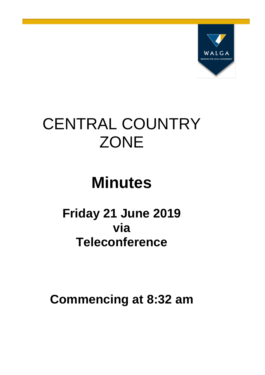

# CENTRAL COUNTRY **ZONE**

# **Minutes**

# **Friday 21 June 2019 via Teleconference**

**Commencing at 8:32 am**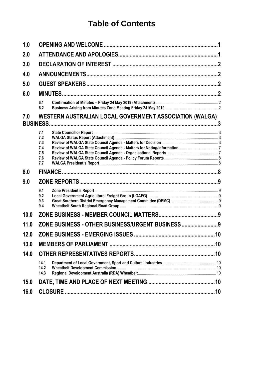# **Table of Contents**

| 1.0  |                                               |                                                         |  |  |
|------|-----------------------------------------------|---------------------------------------------------------|--|--|
| 2.0  |                                               |                                                         |  |  |
| 3.0  |                                               |                                                         |  |  |
| 4.0  |                                               |                                                         |  |  |
| 5.0  |                                               |                                                         |  |  |
| 6.0  |                                               |                                                         |  |  |
|      | 6.1<br>6.2                                    |                                                         |  |  |
| 7.0  |                                               | WESTERN AUSTRALIAN LOCAL GOVERNMENT ASSOCIATION (WALGA) |  |  |
|      | 7.1<br>7.2<br>7.3<br>7.4<br>7.5<br>7.6<br>7.7 |                                                         |  |  |
| 8.0  |                                               |                                                         |  |  |
| 9.0  |                                               |                                                         |  |  |
|      | 9.1<br>9.2<br>9.3<br>9.4                      |                                                         |  |  |
| 10.0 |                                               |                                                         |  |  |
| 11.0 |                                               | ZONE BUSINESS - OTHER BUSINESS/URGENT BUSINESS  9       |  |  |
| 12.0 |                                               |                                                         |  |  |
| 13.0 |                                               |                                                         |  |  |
| 14.0 |                                               |                                                         |  |  |
|      | 14.1<br>14.2<br>14.3                          |                                                         |  |  |
| 15.0 |                                               |                                                         |  |  |
|      |                                               |                                                         |  |  |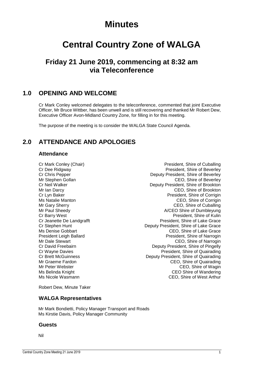# **Minutes**

# **Central Country Zone of WALGA**

# **Friday 21 June 2019, commencing at 8:32 am via Teleconference**

## <span id="page-2-0"></span>**1.0 OPENING AND WELCOME**

Cr Mark Conley welcomed delegates to the teleconference, commented that joint Executive Officer, Mr Bruce Wittber, has been unwell and is still recovering and thanked Mr Robert Dew, Executive Officer Avon-Midland Country Zone, for filling in for this meeting.

The purpose of the meeting is to consider the WALGA State Council Agenda.

# <span id="page-2-1"></span>**2.0 ATTENDANCE AND APOLOGIES**

## **Attendance**

Cr Mark Conley (Chair) President, Shire of Cuballing Cr Dee Ridgway **President, Shire of Beverley** Cr Chris Pepper **Cricia Cr Chris Pepper** Deputy President, Shire of Beverley<br>Mr Stephen Gollan **Deputy President, Shire of Beverley** Mr Stephen Gollan CEO, Shire of Beverley<br>Cr Neil Walker Cr Neil Walker Cr News Cr News Deputy President. Shire of Brookton Deputy President, Shire of Brookton Mr Ian Darcy CEO, Shire of Brookton Cr Lyn Baker President, Shire of Corrigin Ms Natalie Manton CEO, Shire of Corrigin Mr Gary Sherry **CEO**, Shire of Cuballing Mr Paul Sheedy **A/CEO** Shire of Dumbleyung Cr Barry West<br>
Cr Jeanette De Landgrafft<br>
President, Shire of Lake Grace<br>
President, Shire of Lake Grace President, Shire of Lake Grace Cr Stephen Hunt Deputy President, Shire of Lake Grace Ms Denise Gobbart CEO, Shire of Lake Grace President Leigh Ballard President, Shire of Narrogin Mr Dale Stewart CEO, Shire of Narrogin Cr David Freebairn **Creebairn** Deputy President, Shire of Pingelly<br>Cr Wayne Davies **Deputy President**. Shire of Quairading Cr Wayne Davies<br>
Cr Brett McGuinness<br>
Cr Brett McGuinness<br>
Cr Brett McGuinness<br>
Cr Brett McGuinness Deputy President, Shire of Quairading Mr Graeme Fardon **Mr Graeme Fardon** CEO, Shire of Quairading<br>Mr Peter Webster **CEO**, Shire of Waqin CEO, Shire of Wagin Ms Belinda Knight **CEO** Shire of Wandering Ms Nicole Wasmann CEO, Shire of West Arthur

Robert Dew, Minute Taker

## **WALGA Representatives**

Mr Mark Bondietti, Policy Manager Transport and Roads Ms Kirstie Davis, Policy Manager Community

## **Guests**

Nil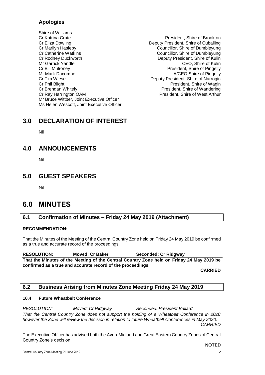## **Apologies**

- Shire of Williams<br>Cr Katrina Crute Cr Eliza Dowling<br>
Cr Marilyn Hasleby<br>
Councillor, Shire of Dumbleyung<br>
Councillor, Shire of Dumbleyung Cr Catherine Watkins Councillor, Shire of Dumbleyung Cr Rodney Duckworth **Deputy President, Shire of Kulin** Mr Garrick Yandle CEO, Shire of Kulin Cr Bill Mulroney President, Shire of Pingelly Mr Mark Dacombe **A/CEO** Shire of Pingelly Cr Tim Wiese **Deputy President, Shire of Narrogin**<br>Cr Phil Blight **Deputy President, Shire of Wagin** Cr Brendan Whitely President, Shire of Wandering Cr Ray Harrington OAM President, Shire of West Arthur Mr Bruce Wittber, Joint Executive Officer Ms Helen Wescott, Joint Executive Officer
	- President, Shire of Brookton Councillor, Shire of Dumbleyung President, Shire of Wagin

## <span id="page-3-0"></span>**3.0 DECLARATION OF INTEREST**

Nil

# <span id="page-3-1"></span>**4.0 ANNOUNCEMENTS**

Nil

## <span id="page-3-2"></span>**5.0 GUEST SPEAKERS**

Nil

# <span id="page-3-3"></span>**6.0 MINUTES**

## <span id="page-3-4"></span>**6.1 Confirmation of Minutes – Friday 24 May 2019 (Attachment)**

## **RECOMMENDATION:**

That the Minutes of the Meeting of the Central Country Zone held on Friday 24 May 2019 be confirmed as a true and accurate record of the proceedings.

**RESOLUTION: Moved: Cr Baker Seconded: Cr Ridgway That the Minutes of the Meeting of the Central Country Zone held on Friday 24 May 2019 be confirmed as a true and accurate record of the proceedings.**

**CARRIED**

## <span id="page-3-5"></span>**6.2 Business Arising from Minutes Zone Meeting Friday 24 May 2019**

#### **10.4 Future Wheatbelt Conference**

*RESOLUTION: Moved: Cr Ridgway Seconded: President Ballard That the Central Country Zone does not support the holding of a Wheatbelt Conference in 2020 however the Zone will review the decision in relation to future Wheatbelt Conferences in May 2020. CARRIED*

The Executive Officer has advised both the Avon-Midland and Great Eastern Country Zones of Central Country Zone's decision.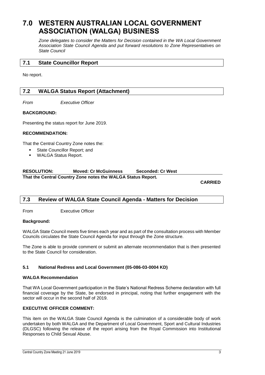# <span id="page-4-0"></span>**7.0 WESTERN AUSTRALIAN LOCAL GOVERNMENT ASSOCIATION (WALGA) BUSINESS**

*Zone delegates to consider the Matters for Decision contained in the WA Local Government Association State Council Agenda and put forward resolutions to Zone Representatives on State Council*

## <span id="page-4-1"></span>**7.1 State Councillor Report**

No report.

## <span id="page-4-2"></span>**7.2 WALGA Status Report (Attachment)**

*From Executive Officer*

#### **BACKGROUND:**

Presenting the status report for June 2019.

#### **RECOMMENDATION:**

That the Central Country Zone notes the:

- State Councillor Report; and
- **WALGA Status Report.**

#### **RESOLUTION: Moved: Cr McGuinness Seconded: Cr West That the Central Country Zone notes the WALGA Status Report.**

**CARRIED**

## <span id="page-4-3"></span>**7.3 Review of WALGA State Council Agenda - Matters for Decision**

From Executive Officer

#### **Background:**

WALGA State Council meets five times each year and as part of the consultation process with Member Councils circulates the State Council Agenda for input through the Zone structure.

The Zone is able to provide comment or submit an alternate recommendation that is then presented to the State Council for consideration.

#### **5.1 National Redress and Local Government (05-086-03-0004 KD)**

#### **WALGA Recommendation**

That WA Local Government participation in the State's National Redress Scheme declaration with full financial coverage by the State, be endorsed in principal, noting that further engagement with the sector will occur in the second half of 2019.

#### **EXECUTIVE OFFICER COMMENT:**

This item on the WALGA State Council Agenda is the culmination of a considerable body of work undertaken by both WALGA and the Department of Local Government, Sport and Cultural Industries (DLGSC) following the release of the report arising from the Royal Commission into Institutional Responses to Child Sexual Abuse.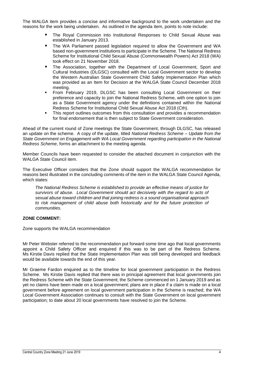The WALGA item provides a concise and informative background to the work undertaken and the reasons for the work being undertaken. As outlined in the agenda item, points to note include:

- The Royal Commission into Institutional Responses to Child Sexual Abuse was established in January 2013.
- The WA Parliament passed legislation required to allow the Government and WA based non-government institutions to participate in the Scheme. The National Redress Scheme for Institutional Child Sexual Abuse (Commonwealth Powers) Act 2018 (WA) took effect on 21 November 2018.
- The Association, together with the Department of Local Government, Sport and Cultural Industries (DLGSC) consulted with the Local Government sector to develop the Western Australian State Government Child Safety Implementation Plan which was provided as an Item for Decision at the WALGA State Council December 2018 meeting.
- From February 2019, DLGSC has been consulting Local Government on their preference and capacity to join the National Redress Scheme, with one option to join as a State Government agency under the definitions contained within the National Redress Scheme for Institutional Child Sexual Abuse Act 2018 (Cth).
- This report outlines outcomes from this consultation and provides a recommendation for final endorsement that is then subject to State Government consideration.

Ahead of the current round of Zone meetings the State Government, through DLGSC, has released an update on the scheme. A copy of the update, titled *National Redress Scheme – Update from the State Government on Engagement with WA Local Government regarding participation in the National Redress Scheme*, forms an attachment to the meeting agenda.

Member Councils have been requested to consider the attached document in conjunction with the WALGA State Council item.

The Executive Officer considers that the Zone should support the WALGA recommendation for reasons best illustrated in the concluding comments of the item in the WALGA State Council Agenda, which states:

*The National Redress Scheme is established to provide an effective means of justice for survivors of abuse. Local Government should act decisively with the regard to acts of sexual abuse toward children and that joining redress is a sound organisational approach*  to risk management of child abuse both historically and for the future protection of *communities.*

## **ZONE COMMENT:**

Zone supports the WALGA recommendation

Mr Peter Webster referred to the recommendation put forward some time ago that local governments appoint a Child Safety Officer and enquired if this was to be part of the Redress Scheme. Ms Kirstie Davis replied that the State Implementation Plan was still being developed and feedback would be available towards the end of this year.

Mr Graeme Fardon enquired as to the timeline for local government participation in the Redress Scheme. Ms Kirstie Davis replied that there was in principal agreement that local governments join the Redress Scheme with the State Government; the Scheme commenced on 1 January 2019 and as yet no claims have been made on a local government; plans are in place if a claim is made on a local government before agreement on local government participation in the Scheme is reached; the WA Local Government Association continues to consult with the State Government on local government participation; to date about 20 local governments have resolved to join the Scheme.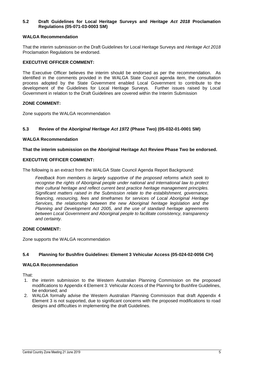#### **5.2 Draft Guidelines for Local Heritage Surveys and** *Heritage Act 2018* **Proclamation Regulations (05-071-03-0003 SM)**

#### **WALGA Recommendation**

That the interim submission on the Draft Guidelines for Local Heritage Surveys and *Heritage Act 2018* Proclamation Regulations be endorsed.

#### **EXECUTIVE OFFICER COMMENT:**

The Executive Officer believes the interim should be endorsed as per the recommendation. As identified in the comments provided in the WALGA State Council agenda item, the consultation process adopted by the State Government enabled Local Government to contribute to the development of the Guidelines for Local Heritage Surveys. Further issues raised by Local Government in relation to the Draft Guidelines are covered within the Interim Submission

#### **ZONE COMMENT:**

Zone supports the WALGA recommendation

#### **5.3 Review of the** *Aboriginal Heritage Act 1972* **(Phase Two) (05-032-01-0001 SM)**

#### **WALGA Recommendation**

#### **That the interim submission on the Aboriginal Heritage Act Review Phase Two be endorsed.**

#### **EXECUTIVE OFFICER COMMENT:**

The following is an extract from the WALGA State Council Agenda Report Background:

*Feedback from members is largely supportive of the proposed reforms which seek to recognise the rights of Aboriginal people under national and international law to protect their cultural heritage and reflect current best practice heritage management principles. Significant matters raised in the Submission relate to the establishment, governance, financing, resourcing, fees and timeframes for services of Local Aboriginal Heritage Services, the relationship between the new Aboriginal heritage legislation and the Planning and Development Act 2005, and the use of standard heritage agreements between Local Government and Aboriginal people to facilitate consistency, transparency and certainty.* 

#### **ZONE COMMENT:**

Zone supports the WALGA recommendation

#### **5.4 Planning for Bushfire Guidelines: Element 3 Vehicular Access (05-024-02-0056 CH)**

#### **WALGA Recommendation**

That:

- 1. the interim submission to the Western Australian Planning Commission on the proposed modifications to Appendix 4 Element 3: Vehicular Access of the Planning for Bushfire Guidelines, be endorsed; and
- 2. WALGA formally advise the Western Australian Planning Commission that draft Appendix 4 Element 3 is not supported, due to significant concerns with the proposed modifications to road designs and difficulties in implementing the draft Guidelines.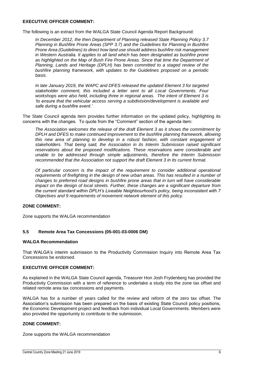#### **EXECUTIVE OFFICER COMMENT:**

The following is an extract from the WALGA State Council Agenda Report Background:

*In December 2012, the then Department of Planning released State Planning Policy 3.7 Planning in Bushfire Prone Areas (SPP 3.7) and the Guidelines for Planning in Bushfire Prone Area (Guidelines) to direct how land use should address bushfire risk management in Western Australia. It applies to all land which has been designated as bushfire prone as highlighted on the Map of Bush Fire Prone Areas. Since that time the Department of Planning, Lands and Heritage (DPLH) has been committed to a staged review of the bushfire planning framework, with updates to the Guidelines proposed on a periodic basis.*

*In late January 2019, the WAPC and DFES released the updated Element 3 for targeted stakeholder comment, this included a letter sent to all Local Governments. Four workshops were also held, including three in regional areas. The intent of Element 3 is 'to ensure that the vehicular access serving a subdivision/development is available and safe during a bushfire event.'*

The State Council agenda item provides further information on the updated policy, highlighting its concerns with the changes. To quote from the "Comment" section of the agenda item:

*The Association welcomes the release of the draft Element 3 as it shows the commitment by DPLH and DFES to make continued improvement to the bushfire planning framework, allowing this new area of planning to develop in a robust fashion, with constant engagement of stakeholders. That being said, the Association in its Interim Submission raised significant reservations about the proposed modifications. These reservations were considerable and unable to be addressed through simple adjustments, therefore the Interim Submission recommended that the Association not support the draft Element 3 in its current format.*

*Of particular concern is the impact of the requirement to consider additional operational*  requirements of firefighting in the design of new urban areas. This has resulted in a number of *changes to preferred road designs in bushfire prone areas that in turn will have considerable impact on the design of local streets. Further, these changes are a significant departure from the current standard within DPLH's Liveable Neighbourhood's policy, being inconsistent with 7 Objectives and 9 requirements of movement network element of this policy.*

#### **ZONE COMMENT:**

Zone supports the WALGA recommendation

#### **5.5 Remote Area Tax Concessions (05-001-03-0006 DM)**

#### **WALGA Recommendation**

That WALGA's interim submission to the Productivity Commission Inquiry into Remote Area Tax Concessions be endorsed.

#### **EXECUTIVE OFFICER COMMENT:**

As explained in the WALGA State Council agenda, Treasurer Hon Josh Frydenberg has provided the Productivity Commission with a term of reference to undertake a study into the zone tax offset and related remote area tax concessions and payments.

WALGA has for a number of years called for the review and reform of the zero tax offset. The Association's submission has been prepared on the basis of existing State Council policy positions, the Economic Development project and feedback from individual Local Governments. Members were also provided the opportunity to contribute to the submission.

#### **ZONE COMMENT:**

Zone supports the WALGA recommendation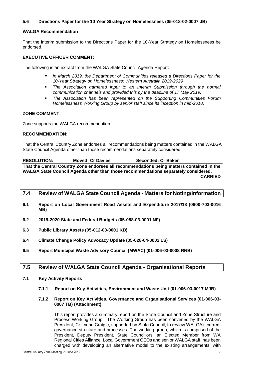#### **5.6 Directions Paper for the 10 Year Strategy on Homelessness (05-018-02-0007 JB)**

#### **WALGA Recommendation**

That the interim submission to the Directions Paper for the 10-Year Strategy on Homelessness be endorsed.

#### **EXECUTIVE OFFICER COMMENT:**

The following is an extract from the WALGA State Council Agenda Report:

- *In March 2019, the Department of Communities released a Directions Paper for the 10-Year Strategy on Homelessness: Western Australia 2019-2029*
- *The Association garnered input to an Interim Submission through the normal communication channels and provided this by the deadline of 17 May 2019.*
- *The Association has been represented on the Supporting Communities Forum Homelessness Working Group by senior staff since its inception in mid-2018.*

#### **ZONE COMMENT:**

Zone supports the WALGA recommendation

#### **RECOMMENDATION:**

That the Central Country Zone endorses all recommendations being matters contained in the WALGA State Council Agenda other than those recommendations separately considered.

**RESOLUTION: Moved: Cr Davies Seconded: Cr Baker That the Central Country Zone endorses all recommendations being matters contained in the WALGA State Council Agenda other than those recommendations separately considered. CARRIED**

#### <span id="page-8-0"></span>**7.4 Review of WALGA State Council Agenda - Matters for Noting/Information**

- **6.1 Report on Local Government Road Assets and Expenditure 2017/18 (0600-703-0016 MB)**
- **6.2 2019-2020 State and Federal Budgets (05-088-03-0001 NF)**
- **6.3 Public Library Assets (05-012-03-0001 KD)**
- **6.4 Climate Change Policy Advocacy Update (05-028-04-0002 LS)**
- **6.5 Report Municipal Waste Advisory Council (MWAC) (01-006-03-0008 RNB)**

## <span id="page-8-1"></span>**7.5 Review of WALGA State Council Agenda - Organisational Reports**

- **7.1 Key Activity Reports**
	- **7.1.1 Report on Key Activities, Environment and Waste Unit (01-006-03-0017 MJB)**

#### **7.1.2 Report on Key Activities, Governance and Organisational Services (01-006-03- 0007 TB) (Attachment)**

This report provides a summary report on the State Council and Zone Structure and Process Working Group. The Working Group has been convened by the WALGA President, Cr Lynne Craigie, supported by State Council, to review WALGA's current governance structure and processes. The working group, which is comprised of the President, Deputy President, State Councillors, an Elected Member from WA Regional Cities Alliance, Local Government CEOs and senior WALGA staff, has been charged with developing an alternative model to the existing arrangements, with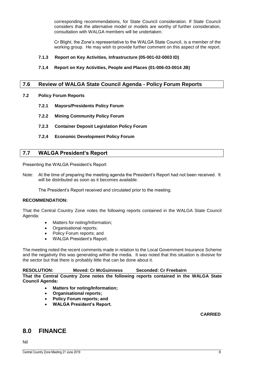corresponding recommendations, for State Council consideration. If State Council considers that the alternative model or models are worthy of further consideration, consultation with WALGA members will be undertaken.

Cr Blight, the Zone's representative to the WALGA State Council, is a member of the working group. He may wish to provide further comment on this aspect of the report.

#### **7.1.3 Report on Key Activities, Infrastructure (05-001-02-0003 ID)**

**7.1.4 Report on Key Activities, People and Places (01-006-03-0014 JB)**

## <span id="page-9-0"></span>**7.6 Review of WALGA State Council Agenda - Policy Forum Reports**

#### **7.2 Policy Forum Reports**

- **7.2.1 Mayors/Presidents Policy Forum**
- **7.2.2 Mining Community Policy Forum**
- **7.2.3 Container Deposit Legislation Policy Forum**
- **7.2.4 Economic Development Policy Forum**

#### <span id="page-9-1"></span>**7.7 WALGA President's Report**

Presenting the WALGA President's Report

Note: At the time of preparing the meeting agenda the President's Report had not been received. It will be distributed as soon as it becomes available.

The President's Report received and circulated prior to the meeting.

#### **RECOMMENDATION:**

That the Central Country Zone notes the following reports contained in the WALGA State Council Agenda:

- Matters for noting/Information;
- Organisational reports;
- Policy Forum reports; and
- WALGA President's Report.

The meeting noted the recent comments made in relation to the Local Government Insurance Scheme and the negativity this was generating within the media. It was noted that this situation is divisive for the sector but that there is probably little that can be done about it.

#### **RESOLUTION: Moved: Cr McGuinness Seconded: Cr Freebairn**

**That the Central Country Zone notes the following reports contained in the WALGA State Council Agenda:**

- **Matters for noting/Information;**
- **Organisational reports;**
- **Policy Forum reports; and**
- **WALGA President's Report.**

#### **CARRIED**

## <span id="page-9-2"></span>**8.0 FINANCE**

Nil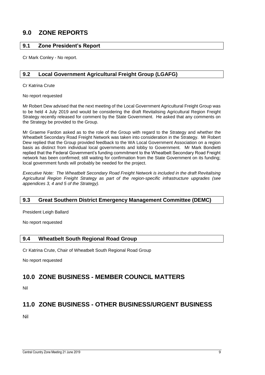# <span id="page-10-0"></span>**9.0 ZONE REPORTS**

## <span id="page-10-1"></span>**9.1 Zone President's Report**

Cr Mark Conley - No report.

## <span id="page-10-2"></span>**9.2 Local Government Agricultural Freight Group (LGAFG)**

Cr Katrina Crute

No report requested

Mr Robert Dew advised that the next meeting of the Local Government Agricultural Freight Group was to be held 4 July 2019 and would be considering the draft Revitalising Agricultural Region Freight Strategy recently released for comment by the State Government. He asked that any comments on the Strategy be provided to the Group.

Mr Graeme Fardon asked as to the role of the Group with regard to the Strategy and whether the Wheatbelt Secondary Road Freight Network was taken into consideration in the Strategy. Mr Robert Dew replied that the Group provided feedback to the WA Local Government Association on a region basis as distinct from individual local governments and lobby to Government. Mr Mark Bondietti replied that the Federal Government's funding commitment to the Wheatbelt Secondary Road Freight network has been confirmed; still waiting for confirmation from the State Government on its funding; local government funds will probably be needed for the project.

*Executive Note: The Wheatbelt Secondary Road Freight Network is included in the draft Revitalising Agricultural Region Freight Strategy as part of the region-specific infrastructure upgrades (see appendices 3, 4 and 5 of the Strategy).*

## <span id="page-10-3"></span>**9.3 Great Southern District Emergency Management Committee (DEMC)**

President Leigh Ballard

No report requested

## <span id="page-10-4"></span>**9.4 Wheatbelt South Regional Road Group**

Cr Katrina Crute, Chair of Wheatbelt South Regional Road Group

No report requested

# <span id="page-10-5"></span>**10.0 ZONE BUSINESS - MEMBER COUNCIL MATTERS**

Nil

# <span id="page-10-6"></span>**11.0 ZONE BUSINESS - OTHER BUSINESS/URGENT BUSINESS**

Nil